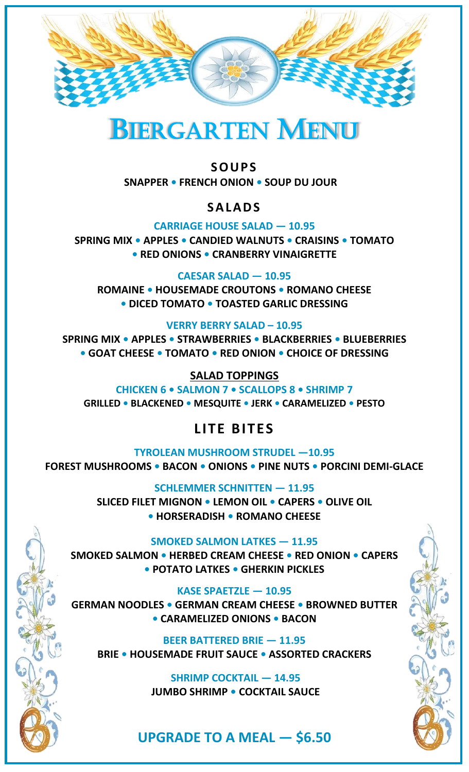



## **SOUPS**

**SNAPPER • FRENCH ONION • SOUP DU JOUR**

### **SALADS**

**CARRIAGE HOUSE SALAD — 10.95**

**SPRING MIX • APPLES • CANDIED WALNUTS • CRAISINS • TOMATO • RED ONIONS • CRANBERRY VINAIGRETTE**

**CAESAR SALAD — 10.95**

**ROMAINE • HOUSEMADE CROUTONS • ROMANO CHEESE • DICED TOMATO • TOASTED GARLIC DRESSING**

**VERRY BERRY SALAD – 10.95 SPRING MIX • APPLES • STRAWBERRIES • BLACKBERRIES • BLUEBERRIES • GOAT CHEESE • TOMATO • RED ONION • CHOICE OF DRESSING**

**SALAD TOPPINGS**

**CHICKEN 6 • SALMON 7 • SCALLOPS 8 • SHRIMP 7 GRILLED • BLACKENED • MESQUITE • JERK • CARAMELIZED • PESTO**

# **LITE BITES**

**TYROLEAN MUSHROOM STRUDEL —10.95 FOREST MUSHROOMS • BACON • ONIONS • PINE NUTS • PORCINI DEMI-GLACE**

> **SCHLEMMER SCHNITTEN — 11.95 SLICED FILET MIGNON • LEMON OIL • CAPERS • OLIVE OIL • HORSERADISH • ROMANO CHEESE**

#### **SMOKED SALMON LATKES — 11.95**

**SMOKED SALMON • HERBED CREAM CHEESE • RED ONION • CAPERS • POTATO LATKES • GHERKIN PICKLES**

**KASE SPAETZLE — 10.95 GERMAN NOODLES • GERMAN CREAM CHEESE • BROWNED BUTTER • CARAMELIZED ONIONS • BACON**

**BEER BATTERED BRIE — 11.95 BRIE • HOUSEMADE FRUIT SAUCE • ASSORTED CRACKERS** 

**3**

**SHRIMP COCKTAIL — 14.95 JUMBO SHRIMP • COCKTAIL SAUCE**

# **UPGRADE TO A MEAL — \$6.50**